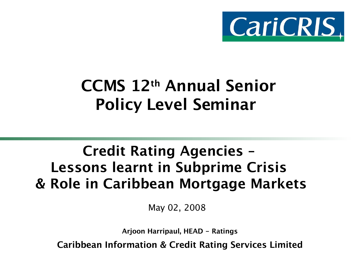

## CCMS 12th Annual Senior Policy Level Seminar

#### Credit Rating Agencies – Lessons learnt in Subprime Crisis & Role in Caribbean Mortgage Markets

May 02, 2008

Arjoon Harripaul, HEAD - Ratings

Caribbean Information & Credit Rating Services Limited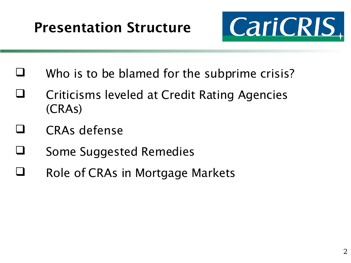

- $\Box$  Who is to be blamed for the subprime crisis?
- Criticisms leveled at Credit Rating Agencies (CRAs)
- CRAs defense
- Some Suggested Remedies
- Role of CRAs in Mortgage Markets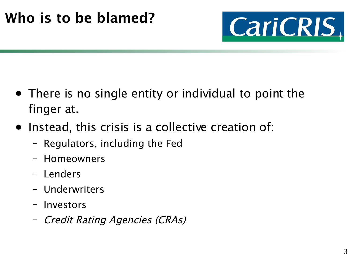

- There is no single entity or individual to point the finger at.
- Instead, this crisis is a collective creation of:
	- Regulators, including the Fed
	- Homeowners
	- Lenders
	- Underwriters
	- Investors
	- Credit Rating Agencies (CRAs)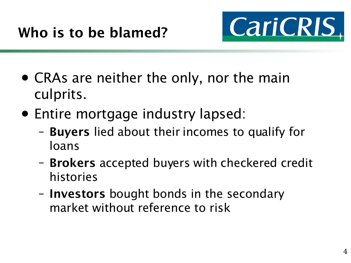

- CRAs are neither the only, nor the main culprits.
- Entire mortgage industry lapsed:
	- Buyers lied about their incomes to qualify for loans
	- Brokers accepted buyers with checkered credit histories
	- Investors bought bonds in the secondary market without reference to risk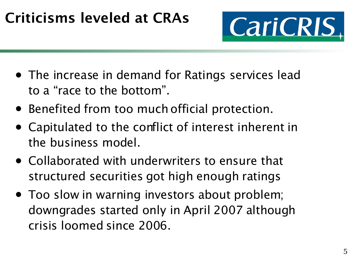#### Criticisms leveled at CRAs



- The increase in demand for Ratings services lead to a "race to the bottom".
- Benefited from too much official protection.
- Capitulated to the conflict of interest inherent in the business model.
- Collaborated with underwriters to ensure that structured securities got high enough ratings
- Too slow in warning investors about problem; downgrades started only in April 2007 although crisis loomed since 2006.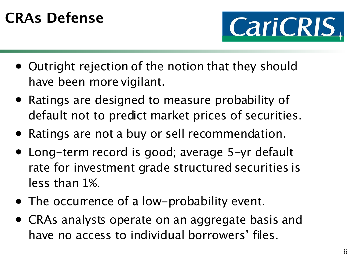### CRAs Defense



- Outright rejection of the notion that they should have been more vigilant.
- Ratings are designed to measure probability of default not to predict market prices of securities.
- Ratings are not a buy or sell recommendation.
- Long-term record is good; average 5-yr default rate for investment grade structured securities is less than 1%.
- The occurrence of a low-probability event.
- CRAs analysts operate on an aggregate basis and have no access to individual borrowers' files.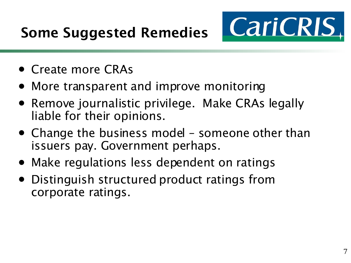

- Create more CRAs
- More transparent and improve monitoring
- Remove journalistic privilege. Make CRAs legally liable for their opinions.
- Change the business model someone other than issuers pay. Government perhaps.
- Make regulations less dependent on ratings
- Distinguish structured product ratings from corporate ratings.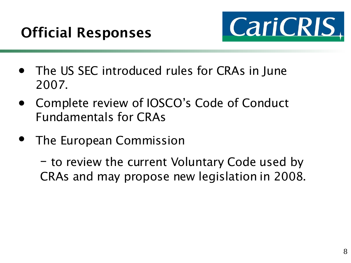

- The US SEC introduced rules for CRAs in June 2007.
- Complete review of IOSCO's Code of Conduct Fundamentals for CRAs
- The European Commission

– to review the current Voluntary Code used by CRAs and may propose new legislation in 2008.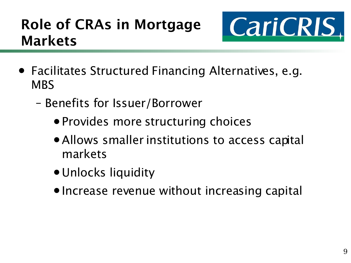#### Role of CRAs in Mortgage Markets



- Facilitates Structured Financing Alternatives, e.g. **MBS** 
	- Benefits for Issuer/Borrower
		- Provides more structuring choices
		- •Allows smaller institutions to access capital markets
		- •Unlocks liquidity
		- •Increase revenue without increasing capital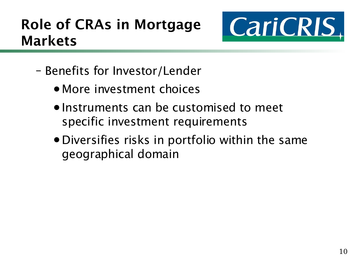#### Role of CRAs in Mortgage Markets



- Benefits for Investor/Lender
	- More investment choices
	- •Instruments can be customised to meet specific investment requirements
	- •Diversifies risks in portfolio within the same geographical domain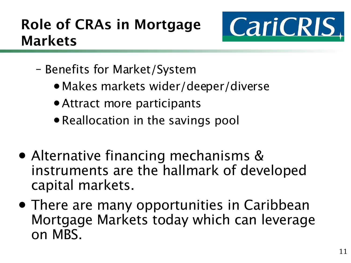#### Role of CRAs in Mortgage Markets



- Benefits for Market/System
	- •Makes markets wider/deeper/diverse
	- •Attract more participants
	- Reallocation in the savings pool
- Alternative financing mechanisms & instruments are the hallmark of developed capital markets.
- There are many opportunities in Caribbean Mortgage Markets today which can leverage on MBS.